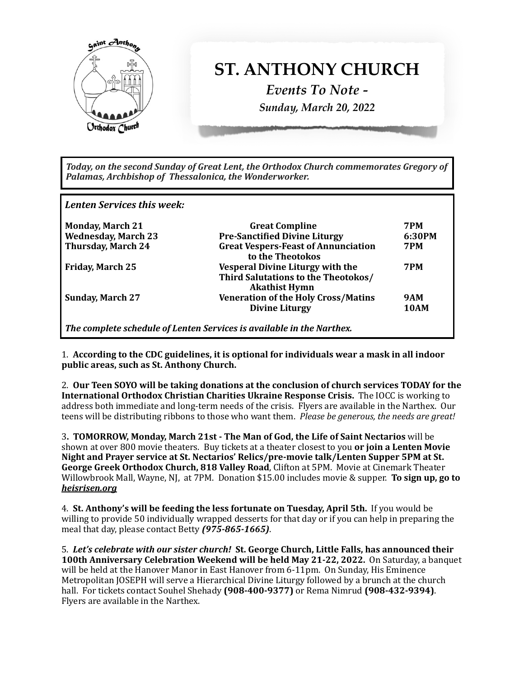

Today, on the second Sunday of Great Lent, the Orthodox Church commemorates Gregory of Palamas, Archbishop of Thessalonica, the Wonderworker.

*Lenten Services this week:* 

| <b>Monday, March 21</b>    | <b>Great Compline</b>                                                                                  | <b>7PM</b>  |
|----------------------------|--------------------------------------------------------------------------------------------------------|-------------|
| <b>Wednesday, March 23</b> | <b>Pre-Sanctified Divine Liturgy</b>                                                                   | 6:30PM      |
| <b>Thursday, March 24</b>  | <b>Great Vespers-Feast of Annunciation</b><br>to the Theotokos                                         | <b>7PM</b>  |
| <b>Friday, March 25</b>    | <b>Vesperal Divine Liturgy with the</b><br>Third Salutations to the Theotokos/<br><b>Akathist Hymn</b> | <b>7PM</b>  |
| <b>Sunday, March 27</b>    | <b>Veneration of the Holy Cross/Matins</b>                                                             | <b>9AM</b>  |
|                            | <b>Divine Liturgy</b>                                                                                  | <b>10AM</b> |
|                            | The complete schedule of Lenten Services is available in the Narthex.                                  |             |

1. According to the CDC guidelines, it is optional for individuals wear a mask in all indoor public areas, such as St. Anthony Church.

2. Our Teen SOYO will be taking donations at the conclusion of church services TODAY for the **International Orthodox Christian Charities Ukraine Response Crisis.** The IOCC is working to address both immediate and long-term needs of the crisis. Flyers are available in the Narthex. Our teens will be distributing ribbons to those who want them. *Please be generous, the needs are great!* 

3. **TOMORROW, Monday, March 21st - The Man of God, the Life of Saint Nectarios** will be shown at over 800 movie theaters. Buy tickets at a theater closest to you **or join a Lenten Movie** Night and Prayer service at St. Nectarios' Relics/pre-movie talk/Lenten Supper 5PM at St. **George Greek Orthodox Church, 818 Valley Road, Clifton at 5PM. Movie at Cinemark Theater** Willowbrook Mall, Wayne, NJ, at 7PM. Donation \$15.00 includes movie & supper. **To sign up, go to** *[heisrisen.org](http://heisrisen.org)* 

4. St. Anthony's will be feeding the less fortunate on Tuesday, April 5th. If you would be willing to provide 50 individually wrapped desserts for that day or if you can help in preparing the meal that day, please contact Betty (975-865-1665).

5. Let's celebrate with our sister church! St. George Church, Little Falls, has announced their **100th Anniversary Celebration Weekend will be held May 21-22, 2022.** On Saturday, a banquet will be held at the Hanover Manor in East Hanover from 6-11pm. On Sunday, His Eminence Metropolitan JOSEPH will serve a Hierarchical Divine Liturgy followed by a brunch at the church hall. For tickets contact Souhel Shehady (908-400-9377) or Rema Nimrud (908-432-9394). Flyers are available in the Narthex.